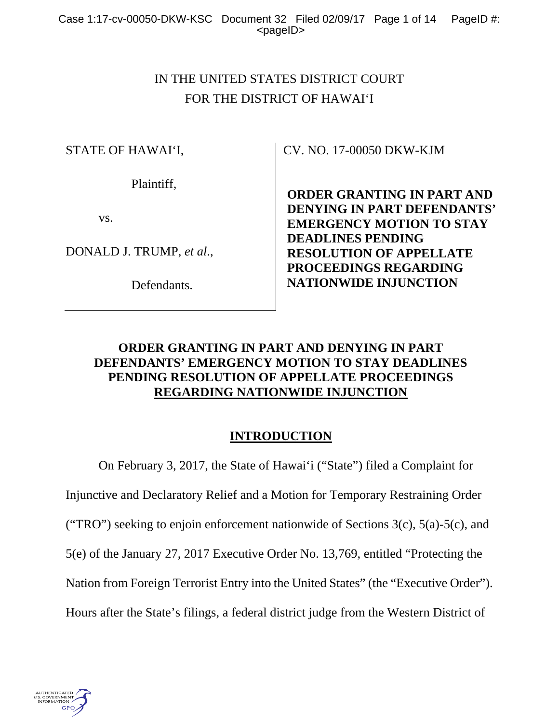# IN THE UNITED STATES DISTRICT COURT FOR THE DISTRICT OF HAWAI'I

STATE OF HAWAI'I,

Plaintiff,

vs.

DONALD J. TRUMP, *et al*.,

Defendants.

CV. NO. 17-00050 DKW-KJM

**ORDER GRANTING IN PART AND DENYING IN PART DEFENDANTS' EMERGENCY MOTION TO STAY DEADLINES PENDING RESOLUTION OF APPELLATE PROCEEDINGS REGARDING NATIONWIDE INJUNCTION** 

# **ORDER GRANTING IN PART AND DENYING IN PART DEFENDANTS' EMERGENCY MOTION TO STAY DEADLINES PENDING RESOLUTION OF APPELLATE PROCEEDINGS REGARDING NATIONWIDE INJUNCTION**

# **INTRODUCTION**

 On February 3, 2017, the State of Hawai'i ("State") filed a Complaint for Injunctive and Declaratory Relief and a Motion for Temporary Restraining Order ("TRO") seeking to enjoin enforcement nationwide of Sections  $3(c)$ ,  $5(a)$ - $5(c)$ , and 5(e) of the January 27, 2017 Executive Order No. 13,769, entitled "Protecting the Nation from Foreign Terrorist Entry into the United States" (the "Executive Order"). Hours after the State's filings, a federal district judge from the Western District of

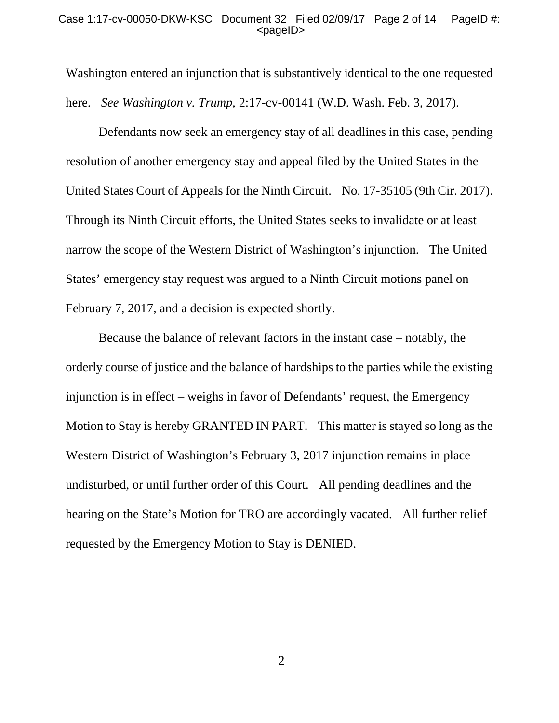#### Case 1:17-cv-00050-DKW-KSC Document 32 Filed 02/09/17 Page 2 of 14 PageID #: <pageID>

Washington entered an injunction that is substantively identical to the one requested here. *See Washington v. Trump*, 2:17-cv-00141 (W.D. Wash. Feb. 3, 2017).

Defendants now seek an emergency stay of all deadlines in this case, pending resolution of another emergency stay and appeal filed by the United States in the United States Court of Appeals for the Ninth Circuit. No. 17-35105 (9th Cir. 2017). Through its Ninth Circuit efforts, the United States seeks to invalidate or at least narrow the scope of the Western District of Washington's injunction. The United States' emergency stay request was argued to a Ninth Circuit motions panel on February 7, 2017, and a decision is expected shortly.

 Because the balance of relevant factors in the instant case – notably, the orderly course of justice and the balance of hardships to the parties while the existing injunction is in effect – weighs in favor of Defendants' request, the Emergency Motion to Stay is hereby GRANTED IN PART. This matter is stayed so long as the Western District of Washington's February 3, 2017 injunction remains in place undisturbed, or until further order of this Court. All pending deadlines and the hearing on the State's Motion for TRO are accordingly vacated. All further relief requested by the Emergency Motion to Stay is DENIED.

2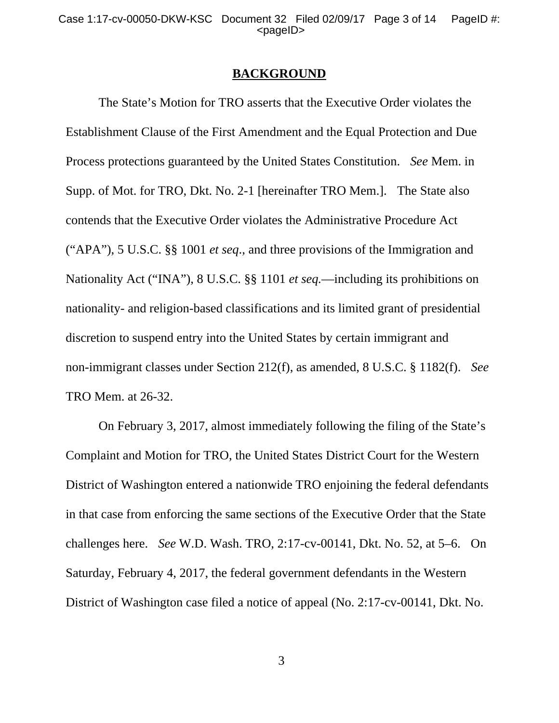#### **BACKGROUND**

The State's Motion for TRO asserts that the Executive Order violates the Establishment Clause of the First Amendment and the Equal Protection and Due Process protections guaranteed by the United States Constitution. *See* Mem. in Supp. of Mot. for TRO, Dkt. No. 2-1 [hereinafter TRO Mem.]. The State also contends that the Executive Order violates the Administrative Procedure Act ("APA"), 5 U.S.C. §§ 1001 *et seq*., and three provisions of the Immigration and Nationality Act ("INA"), 8 U.S.C. §§ 1101 *et seq.*—including its prohibitions on nationality- and religion-based classifications and its limited grant of presidential discretion to suspend entry into the United States by certain immigrant and non-immigrant classes under Section 212(f), as amended, 8 U.S.C. § 1182(f). *See* TRO Mem. at 26-32.

 On February 3, 2017, almost immediately following the filing of the State's Complaint and Motion for TRO, the United States District Court for the Western District of Washington entered a nationwide TRO enjoining the federal defendants in that case from enforcing the same sections of the Executive Order that the State challenges here. *See* W.D. Wash. TRO, 2:17-cv-00141, Dkt. No. 52, at 5–6. On Saturday, February 4, 2017, the federal government defendants in the Western District of Washington case filed a notice of appeal (No. 2:17-cv-00141, Dkt. No.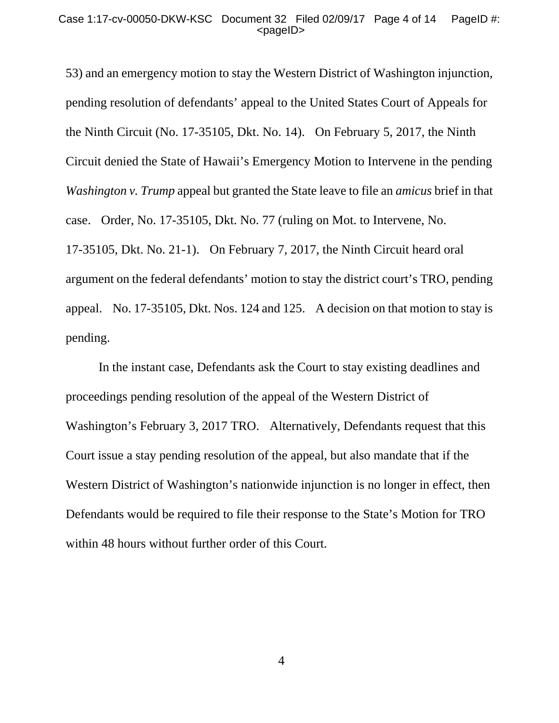53) and an emergency motion to stay the Western District of Washington injunction, pending resolution of defendants' appeal to the United States Court of Appeals for the Ninth Circuit (No. 17-35105, Dkt. No. 14). On February 5, 2017, the Ninth Circuit denied the State of Hawaii's Emergency Motion to Intervene in the pending *Washington v. Trump* appeal but granted the State leave to file an *amicus* brief in that case. Order, No. 17-35105, Dkt. No. 77 (ruling on Mot. to Intervene, No. 17-35105, Dkt. No. 21-1). On February 7, 2017, the Ninth Circuit heard oral argument on the federal defendants' motion to stay the district court's TRO, pending appeal. No. 17-35105, Dkt. Nos. 124 and 125. A decision on that motion to stay is pending.

 In the instant case, Defendants ask the Court to stay existing deadlines and proceedings pending resolution of the appeal of the Western District of Washington's February 3, 2017 TRO. Alternatively, Defendants request that this Court issue a stay pending resolution of the appeal, but also mandate that if the Western District of Washington's nationwide injunction is no longer in effect, then Defendants would be required to file their response to the State's Motion for TRO within 48 hours without further order of this Court.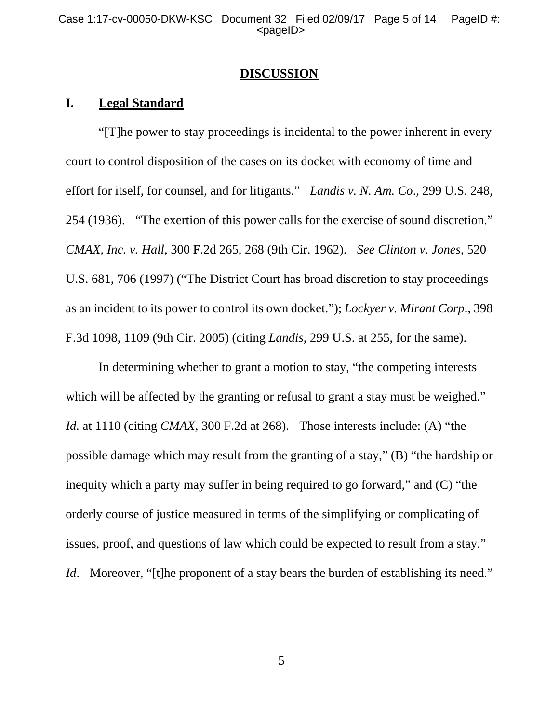#### **DISCUSSION**

### **I. Legal Standard**

 "[T]he power to stay proceedings is incidental to the power inherent in every court to control disposition of the cases on its docket with economy of time and effort for itself, for counsel, and for litigants." *Landis v. N. Am. Co*., 299 U.S. 248, 254 (1936). "The exertion of this power calls for the exercise of sound discretion." *CMAX, Inc. v. Hall*, 300 F.2d 265, 268 (9th Cir. 1962). *See Clinton v. Jones*, 520 U.S. 681, 706 (1997) ("The District Court has broad discretion to stay proceedings as an incident to its power to control its own docket."); *Lockyer v. Mirant Corp*., 398 F.3d 1098, 1109 (9th Cir. 2005) (citing *Landis*, 299 U.S. at 255, for the same).

 In determining whether to grant a motion to stay, "the competing interests which will be affected by the granting or refusal to grant a stay must be weighed." *Id.* at 1110 (citing *CMAX*, 300 F.2d at 268). Those interests include: (A) "the possible damage which may result from the granting of a stay," (B) "the hardship or inequity which a party may suffer in being required to go forward," and (C) "the orderly course of justice measured in terms of the simplifying or complicating of issues, proof, and questions of law which could be expected to result from a stay." *Id.* Moreover, "[t]he proponent of a stay bears the burden of establishing its need."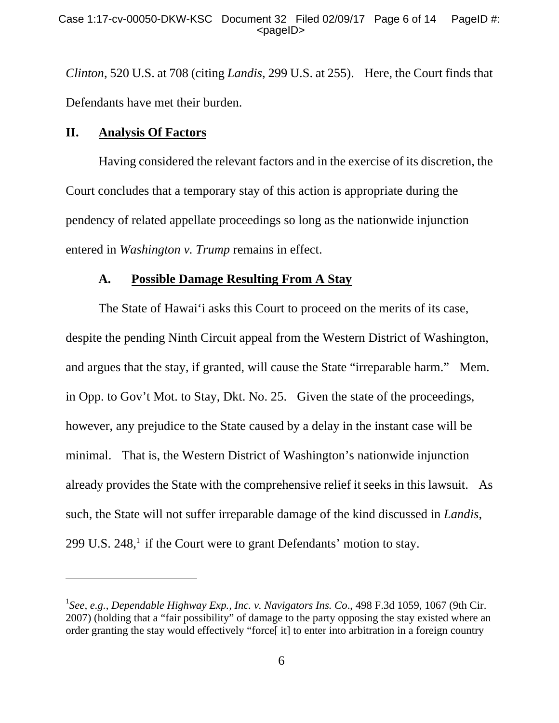*Clinton*, 520 U.S. at 708 (citing *Landis*, 299 U.S. at 255). Here, the Court finds that Defendants have met their burden.

### **II. Analysis Of Factors**

l

 Having considered the relevant factors and in the exercise of its discretion, the Court concludes that a temporary stay of this action is appropriate during the pendency of related appellate proceedings so long as the nationwide injunction entered in *Washington v. Trump* remains in effect.

## **A. Possible Damage Resulting From A Stay**

 The State of Hawai'i asks this Court to proceed on the merits of its case, despite the pending Ninth Circuit appeal from the Western District of Washington, and argues that the stay, if granted, will cause the State "irreparable harm." Mem. in Opp. to Gov't Mot. to Stay, Dkt. No. 25. Given the state of the proceedings, however, any prejudice to the State caused by a delay in the instant case will be minimal. That is, the Western District of Washington's nationwide injunction already provides the State with the comprehensive relief it seeks in this lawsuit. As such, the State will not suffer irreparable damage of the kind discussed in *Landis*, 299 U.S.  $248$ ,<sup>1</sup> if the Court were to grant Defendants' motion to stay.

<sup>1</sup> *See, e.g.*, *Dependable Highway Exp., Inc. v. Navigators Ins. Co*., 498 F.3d 1059, 1067 (9th Cir. 2007) (holding that a "fair possibility" of damage to the party opposing the stay existed where an order granting the stay would effectively "force[ it] to enter into arbitration in a foreign country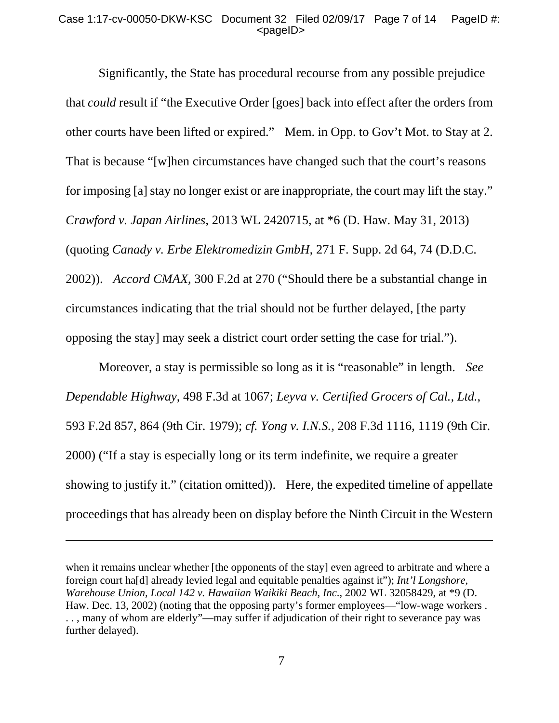#### Case 1:17-cv-00050-DKW-KSC Document 32 Filed 02/09/17 Page 7 of 14 PageID #:  $<$ pageID $>$

 Significantly, the State has procedural recourse from any possible prejudice that *could* result if "the Executive Order [goes] back into effect after the orders from other courts have been lifted or expired." Mem. in Opp. to Gov't Mot. to Stay at 2. That is because "[w]hen circumstances have changed such that the court's reasons for imposing [a] stay no longer exist or are inappropriate, the court may lift the stay." *Crawford v. Japan Airlines*, 2013 WL 2420715, at \*6 (D. Haw. May 31, 2013) (quoting *Canady v. Erbe Elektromedizin GmbH,* 271 F. Supp. 2d 64, 74 (D.D.C. 2002)). *Accord CMAX*, 300 F.2d at 270 ("Should there be a substantial change in circumstances indicating that the trial should not be further delayed, [the party opposing the stay] may seek a district court order setting the case for trial.").

 Moreover, a stay is permissible so long as it is "reasonable" in length. *See Dependable Highway*, 498 F.3d at 1067; *Leyva v. Certified Grocers of Cal., Ltd.*, 593 F.2d 857, 864 (9th Cir. 1979); *cf. Yong v. I.N.S.*, 208 F.3d 1116, 1119 (9th Cir. 2000) ("If a stay is especially long or its term indefinite, we require a greater showing to justify it." (citation omitted)). Here, the expedited timeline of appellate proceedings that has already been on display before the Ninth Circuit in the Western

-

when it remains unclear whether [the opponents of the stay] even agreed to arbitrate and where a foreign court ha[d] already levied legal and equitable penalties against it"); *Int'l Longshore, Warehouse Union, Local 142 v. Hawaiian Waikiki Beach, Inc*., 2002 WL 32058429, at \*9 (D. Haw. Dec. 13, 2002) (noting that the opposing party's former employees—"low-wage workers. . . , many of whom are elderly"—may suffer if adjudication of their right to severance pay was further delayed).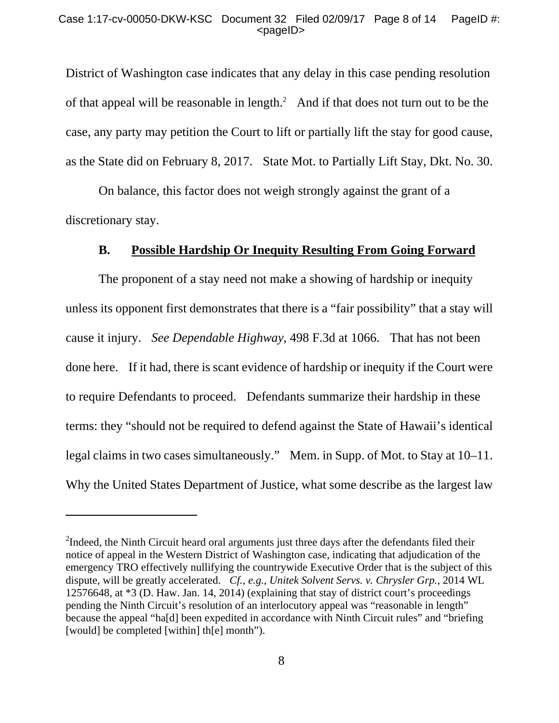District of Washington case indicates that any delay in this case pending resolution of that appeal will be reasonable in length. $^2$  And if that does not turn out to be the case, any party may petition the Court to lift or partially lift the stay for good cause, as the State did on February 8, 2017. State Mot. to Partially Lift Stay, Dkt. No. 30.

 On balance, this factor does not weigh strongly against the grant of a discretionary stay.

### **B. Possible Hardship Or Inequity Resulting From Going Forward**

 The proponent of a stay need not make a showing of hardship or inequity unless its opponent first demonstrates that there is a "fair possibility" that a stay will cause it injury. *See Dependable Highway*, 498 F.3d at 1066. That has not been done here. If it had, there is scant evidence of hardship or inequity if the Court were to require Defendants to proceed. Defendants summarize their hardship in these terms: they "should not be required to defend against the State of Hawaii's identical legal claims in two cases simultaneously." Mem. in Supp. of Mot. to Stay at 10–11. Why the United States Department of Justice, what some describe as the largest law

l

 $2^2$ Indeed, the Ninth Circuit heard oral arguments just three days after the defendants filed their notice of appeal in the Western District of Washington case, indicating that adjudication of the emergency TRO effectively nullifying the countrywide Executive Order that is the subject of this dispute, will be greatly accelerated. *Cf.*, *e.g.*, *Unitek Solvent Servs. v. Chrysler Grp.*, 2014 WL 12576648, at \*3 (D. Haw. Jan. 14, 2014) (explaining that stay of district court's proceedings pending the Ninth Circuit's resolution of an interlocutory appeal was "reasonable in length" because the appeal "ha[d] been expedited in accordance with Ninth Circuit rules" and "briefing [would] be completed [within] th[e] month").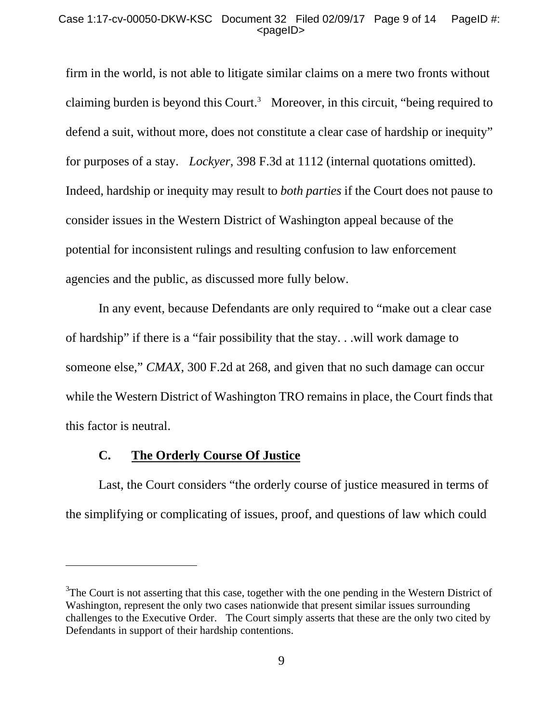#### Case 1:17-cv-00050-DKW-KSC Document 32 Filed 02/09/17 Page 9 of 14 PageID #:  $<$ pageID $>$

firm in the world, is not able to litigate similar claims on a mere two fronts without claiming burden is beyond this Court.<sup>3</sup> Moreover, in this circuit, "being required to defend a suit, without more, does not constitute a clear case of hardship or inequity" for purposes of a stay. *Lockyer*, 398 F.3d at 1112 (internal quotations omitted). Indeed, hardship or inequity may result to *both parties* if the Court does not pause to consider issues in the Western District of Washington appeal because of the potential for inconsistent rulings and resulting confusion to law enforcement agencies and the public, as discussed more fully below.

 In any event, because Defendants are only required to "make out a clear case of hardship" if there is a "fair possibility that the stay. . .will work damage to someone else," *CMAX*, 300 F.2d at 268, and given that no such damage can occur while the Western District of Washington TRO remains in place, the Court finds that this factor is neutral.

### **C. The Orderly Course Of Justice**

 $\overline{a}$ 

 Last, the Court considers "the orderly course of justice measured in terms of the simplifying or complicating of issues, proof, and questions of law which could

 $3$ The Court is not asserting that this case, together with the one pending in the Western District of Washington, represent the only two cases nationwide that present similar issues surrounding challenges to the Executive Order. The Court simply asserts that these are the only two cited by Defendants in support of their hardship contentions.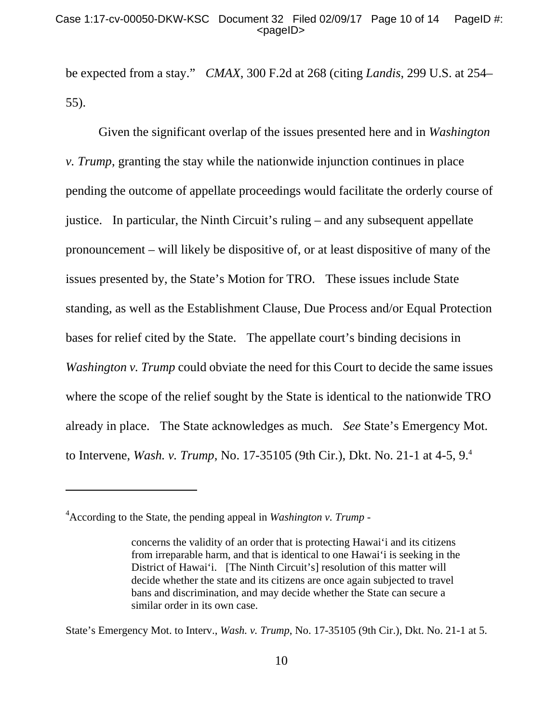be expected from a stay." *CMAX*, 300 F.2d at 268 (citing *Landis*, 299 U.S. at 254– 55).

 Given the significant overlap of the issues presented here and in *Washington v. Trump*, granting the stay while the nationwide injunction continues in place pending the outcome of appellate proceedings would facilitate the orderly course of justice. In particular, the Ninth Circuit's ruling – and any subsequent appellate pronouncement – will likely be dispositive of, or at least dispositive of many of the issues presented by, the State's Motion for TRO. These issues include State standing, as well as the Establishment Clause, Due Process and/or Equal Protection bases for relief cited by the State. The appellate court's binding decisions in *Washington v. Trump* could obviate the need for this Court to decide the same issues where the scope of the relief sought by the State is identical to the nationwide TRO already in place. The State acknowledges as much. *See* State's Emergency Mot. to Intervene, *Wash. v. Trump*, No. 17-35105 (9th Cir.), Dkt. No. 21-1 at 4-5, 9.4

-

<sup>4</sup> According to the State, the pending appeal in *Washington v. Trump -* 

concerns the validity of an order that is protecting Hawai'i and its citizens from irreparable harm, and that is identical to one Hawai'i is seeking in the District of Hawai'i. [The Ninth Circuit's] resolution of this matter will decide whether the state and its citizens are once again subjected to travel bans and discrimination, and may decide whether the State can secure a similar order in its own case.

State's Emergency Mot. to Interv., *Wash. v. Trump*, No. 17-35105 (9th Cir.), Dkt. No. 21-1 at 5.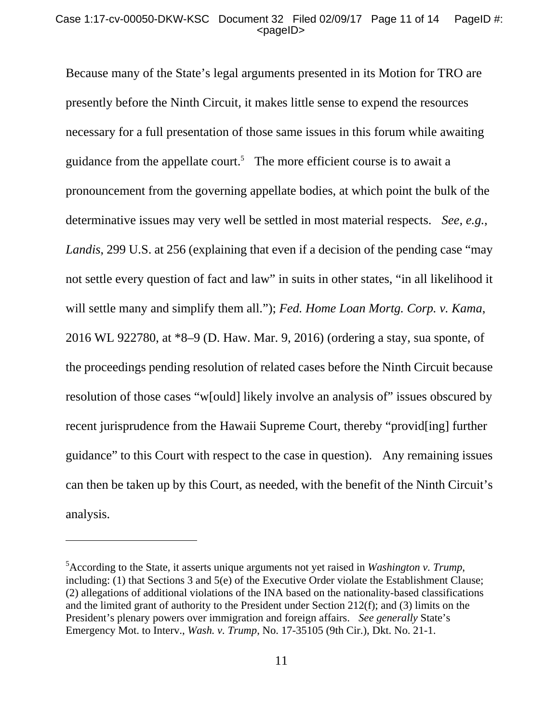Because many of the State's legal arguments presented in its Motion for TRO are presently before the Ninth Circuit, it makes little sense to expend the resources necessary for a full presentation of those same issues in this forum while awaiting guidance from the appellate court.<sup>5</sup> The more efficient course is to await a pronouncement from the governing appellate bodies, at which point the bulk of the determinative issues may very well be settled in most material respects. *See, e.g.*, *Landis*, 299 U.S. at 256 (explaining that even if a decision of the pending case "may not settle every question of fact and law" in suits in other states, "in all likelihood it will settle many and simplify them all."); *Fed. Home Loan Mortg. Corp. v. Kama*, 2016 WL 922780, at \*8–9 (D. Haw. Mar. 9, 2016) (ordering a stay, sua sponte, of the proceedings pending resolution of related cases before the Ninth Circuit because resolution of those cases "w[ould] likely involve an analysis of" issues obscured by recent jurisprudence from the Hawaii Supreme Court, thereby "provid[ing] further guidance" to this Court with respect to the case in question). Any remaining issues can then be taken up by this Court, as needed, with the benefit of the Ninth Circuit's analysis.

 $\overline{a}$ 

<sup>5</sup> According to the State, it asserts unique arguments not yet raised in *Washington v. Trump*, including: (1) that Sections 3 and 5(e) of the Executive Order violate the Establishment Clause; (2) allegations of additional violations of the INA based on the nationality-based classifications and the limited grant of authority to the President under Section 212(f); and (3) limits on the President's plenary powers over immigration and foreign affairs. *See generally* State's Emergency Mot. to Interv., *Wash. v. Trump*, No. 17-35105 (9th Cir.), Dkt. No. 21-1.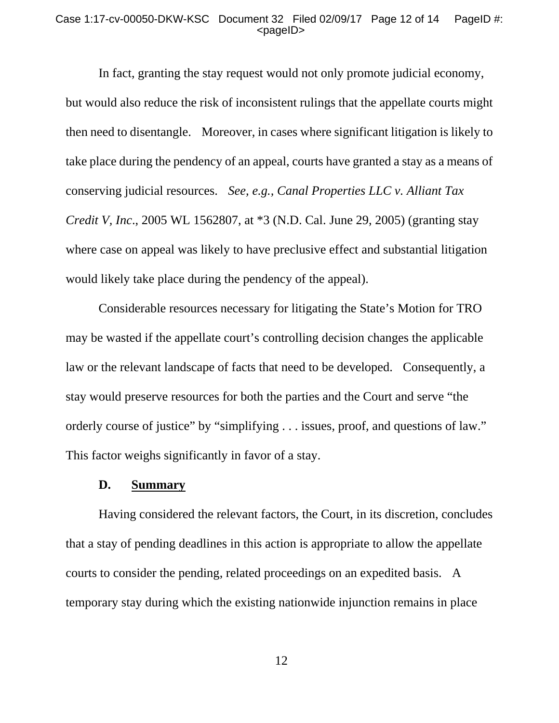#### Case 1:17-cv-00050-DKW-KSC Document 32 Filed 02/09/17 Page 12 of 14 PageID #: <pageID>

 In fact, granting the stay request would not only promote judicial economy, but would also reduce the risk of inconsistent rulings that the appellate courts might then need to disentangle. Moreover, in cases where significant litigation is likely to take place during the pendency of an appeal, courts have granted a stay as a means of conserving judicial resources. *See, e.g., Canal Properties LLC v. Alliant Tax Credit V, Inc*., 2005 WL 1562807, at \*3 (N.D. Cal. June 29, 2005) (granting stay where case on appeal was likely to have preclusive effect and substantial litigation would likely take place during the pendency of the appeal).

 Considerable resources necessary for litigating the State's Motion for TRO may be wasted if the appellate court's controlling decision changes the applicable law or the relevant landscape of facts that need to be developed. Consequently, a stay would preserve resources for both the parties and the Court and serve "the orderly course of justice" by "simplifying . . . issues, proof, and questions of law." This factor weighs significantly in favor of a stay.

#### **D. Summary**

 Having considered the relevant factors, the Court, in its discretion, concludes that a stay of pending deadlines in this action is appropriate to allow the appellate courts to consider the pending, related proceedings on an expedited basis. A temporary stay during which the existing nationwide injunction remains in place

12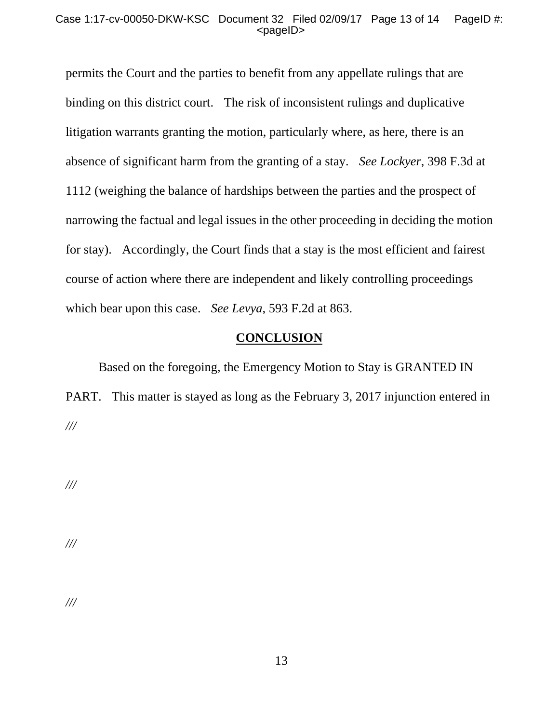#### Case 1:17-cv-00050-DKW-KSC Document 32 Filed 02/09/17 Page 13 of 14 PageID #: <pageID>

permits the Court and the parties to benefit from any appellate rulings that are binding on this district court. The risk of inconsistent rulings and duplicative litigation warrants granting the motion, particularly where, as here, there is an absence of significant harm from the granting of a stay. *See Lockyer*, 398 F.3d at 1112 (weighing the balance of hardships between the parties and the prospect of narrowing the factual and legal issues in the other proceeding in deciding the motion for stay). Accordingly, the Court finds that a stay is the most efficient and fairest course of action where there are independent and likely controlling proceedings which bear upon this case. *See Levya*, 593 F.2d at 863.

### **CONCLUSION**

Based on the foregoing, the Emergency Motion to Stay is GRANTED IN PART. This matter is stayed as long as the February 3, 2017 injunction entered in *///* 

*///* 

*///* 

*///*